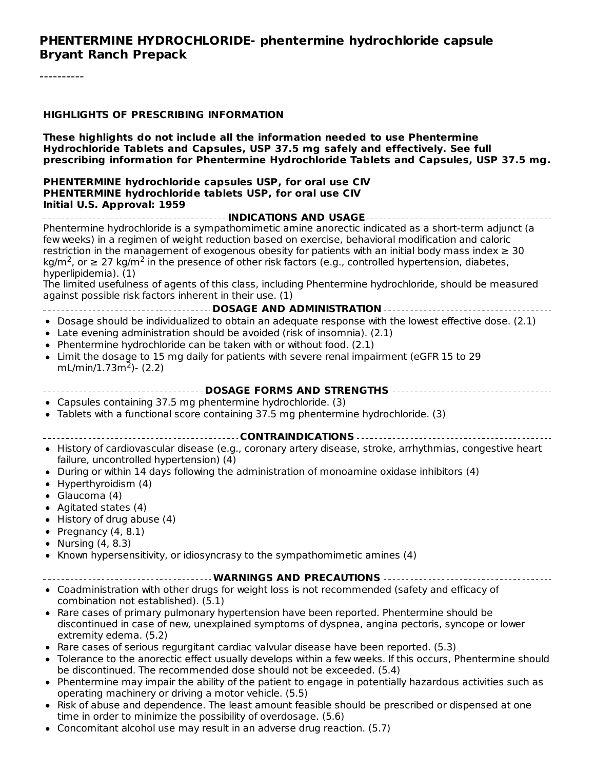#### **PHENTERMINE HYDROCHLORIDE- phentermine hydrochloride capsule Bryant Ranch Prepack**

#### **HIGHLIGHTS OF PRESCRIBING INFORMATION**

**These highlights do not include all the information needed to use Phentermine Hydrochloride Tablets and Capsules, USP 37.5 mg safely and effectively. See full prescribing information for Phentermine Hydrochloride Tablets and Capsules, USP 37.5 mg.**

#### **PHENTERMINE hydrochloride capsules USP, for oral use CIV PHENTERMINE hydrochloride tablets USP, for oral use CIV Initial U.S. Approval: 1959**

**INDICATIONS AND USAGE** Phentermine hydrochloride is a sympathomimetic amine anorectic indicated as a short-term adjunct (a few weeks) in a regimen of weight reduction based on exercise, behavioral modification and caloric restriction in the management of exogenous obesity for patients with an initial body mass index  $\geq 30$ kg/m<sup>2</sup>, or  $\geq 27$  kg/m<sup>2</sup> in the presence of other risk factors (e.g., controlled hypertension, diabetes, hyperlipidemia). (1) The limited usefulness of agents of this class, including Phentermine hydrochloride, should be measured against possible risk factors inherent in their use. (1) **DOSAGE AND ADMINISTRATION** Dosage should be individualized to obtain an adequate response with the lowest effective dose. (2.1) Late evening administration should be avoided (risk of insomnia). (2.1) • Phentermine hydrochloride can be taken with or without food.  $(2.1)$ Limit the dosage to 15 mg daily for patients with severe renal impairment (eGFR 15 to 29 mL/min/1.73m<sup>2</sup>)- (2.2) **DOSAGE FORMS AND STRENGTHS** Capsules containing 37.5 mg phentermine hydrochloride. (3) Tablets with a functional score containing 37.5 mg phentermine hydrochloride. (3) **CONTRAINDICATIONS** • History of cardiovascular disease (e.g., coronary artery disease, stroke, arrhythmias, congestive heart failure, uncontrolled hypertension) (4) During or within 14 days following the administration of monoamine oxidase inhibitors (4) • Hyperthyroidism (4) Glaucoma (4) Agitated states (4)  $\bullet$  History of drug abuse (4) • Pregnancy  $(4, 8.1)$ • Nursing  $(4, 8.3)$  $\bullet$  Known hypersensitivity, or idiosyncrasy to the sympathomimetic amines (4) **WARNINGS AND PRECAUTIONS** Coadministration with other drugs for weight loss is not recommended (safety and efficacy of combination not established). (5.1) • Rare cases of primary pulmonary hypertension have been reported. Phentermine should be discontinued in case of new, unexplained symptoms of dyspnea, angina pectoris, syncope or lower extremity edema. (5.2) • Rare cases of serious regurgitant cardiac valvular disease have been reported. (5.3) Tolerance to the anorectic effect usually develops within a few weeks. If this occurs, Phentermine should be discontinued. The recommended dose should not be exceeded. (5.4) Phentermine may impair the ability of the patient to engage in potentially hazardous activities such as operating machinery or driving a motor vehicle. (5.5) • Risk of abuse and dependence. The least amount feasible should be prescribed or dispensed at one time in order to minimize the possibility of overdosage. (5.6)

Concomitant alcohol use may result in an adverse drug reaction. (5.7)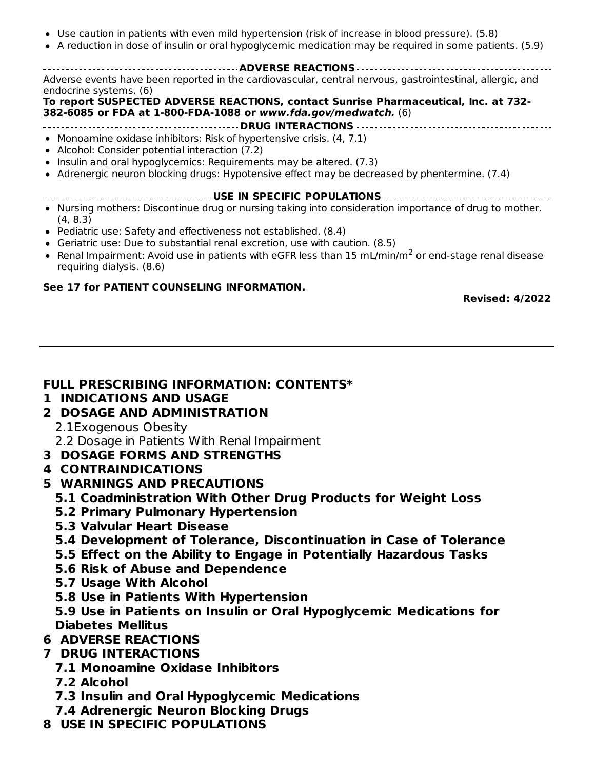- Use caution in patients with even mild hypertension (risk of increase in blood pressure). (5.8)
- A reduction in dose of insulin or oral hypoglycemic medication may be required in some patients. (5.9)

**ADVERSE REACTIONS** Adverse events have been reported in the cardiovascular, central nervous, gastrointestinal, allergic, and endocrine systems. (6)

**To report SUSPECTED ADVERSE REACTIONS, contact Sunrise Pharmaceutical, Inc. at 732- 382-6085 or FDA at 1-800-FDA-1088 or www.fda.gov/medwatch.** (6)

#### **DRUG INTERACTIONS**

- Monoamine oxidase inhibitors: Risk of hypertensive crisis. (4, 7.1)
- Alcohol: Consider potential interaction (7.2)
- $\bullet$  Insulin and oral hypoglycemics: Requirements may be altered. (7.3)
- Adrenergic neuron blocking drugs: Hypotensive effect may be decreased by phentermine. (7.4)
- **USE IN SPECIFIC POPULATIONS**
- Nursing mothers: Discontinue drug or nursing taking into consideration importance of drug to mother. (4, 8.3)
- Pediatric use: Safety and effectiveness not established. (8.4)
- Geriatric use: Due to substantial renal excretion, use with caution. (8.5)
- Renal Impairment: Avoid use in patients with eGFR less than 15 mL/min/m<sup>2</sup> or end-stage renal disease requiring dialysis. (8.6)

#### **See 17 for PATIENT COUNSELING INFORMATION.**

**Revised: 4/2022**

#### **FULL PRESCRIBING INFORMATION: CONTENTS\***

#### **1 INDICATIONS AND USAGE**

**2 DOSAGE AND ADMINISTRATION**

2.1Exogenous Obesity

2.2 Dosage in Patients With Renal Impairment

**3 DOSAGE FORMS AND STRENGTHS**

#### **4 CONTRAINDICATIONS**

- **5 WARNINGS AND PRECAUTIONS**
	- **5.1 Coadministration With Other Drug Products for Weight Loss**
	- **5.2 Primary Pulmonary Hypertension**
	- **5.3 Valvular Heart Disease**
	- **5.4 Development of Tolerance, Discontinuation in Case of Tolerance**
	- **5.5 Effect on the Ability to Engage in Potentially Hazardous Tasks**
	- **5.6 Risk of Abuse and Dependence**
	- **5.7 Usage With Alcohol**
	- **5.8 Use in Patients With Hypertension**

**5.9 Use in Patients on Insulin or Oral Hypoglycemic Medications for Diabetes Mellitus**

**6 ADVERSE REACTIONS**

#### **7 DRUG INTERACTIONS**

- **7.1 Monoamine Oxidase Inhibitors**
- **7.2 Alcohol**
- **7.3 Insulin and Oral Hypoglycemic Medications**
- **7.4 Adrenergic Neuron Blocking Drugs**
- **8 USE IN SPECIFIC POPULATIONS**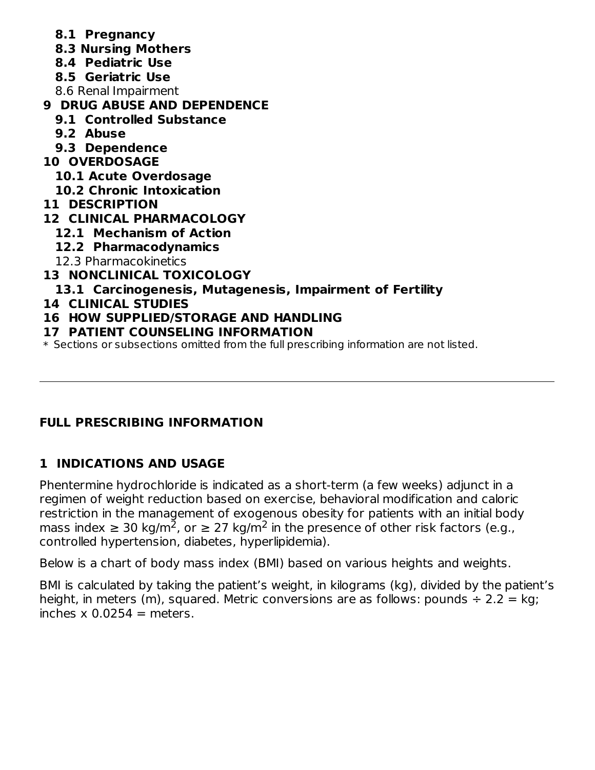- **8.1 Pregnancy**
- **8.3 Nursing Mothers**
- **8.4 Pediatric Use**
- **8.5 Geriatric Use**
- 8.6 Renal Impairment
- **9 DRUG ABUSE AND DEPENDENCE**
	- **9.1 Controlled Substance**
	- **9.2 Abuse**
	- **9.3 Dependence**
- **10 OVERDOSAGE**
	- **10.1 Acute Overdosage**
- **10.2 Chronic Intoxication**
- **11 DESCRIPTION**
- **12 CLINICAL PHARMACOLOGY**
	- **12.1 Mechanism of Action**
	- **12.2 Pharmacodynamics**
	- 12.3 Pharmacokinetics
- **13 NONCLINICAL TOXICOLOGY**
	- **13.1 Carcinogenesis, Mutagenesis, Impairment of Fertility**
- **14 CLINICAL STUDIES**
- **16 HOW SUPPLIED/STORAGE AND HANDLING**
- **17 PATIENT COUNSELING INFORMATION**

\* Sections or subsections omitted from the full prescribing information are not listed.

# **FULL PRESCRIBING INFORMATION**

# **1 INDICATIONS AND USAGE**

Phentermine hydrochloride is indicated as a short-term (a few weeks) adjunct in a regimen of weight reduction based on exercise, behavioral modification and caloric restriction in the management of exogenous obesity for patients with an initial body mass index  $\geq 30$  kg/m<sup>2</sup>, or  $\geq 27$  kg/m<sup>2</sup> in the presence of other risk factors (e.g., controlled hypertension, diabetes, hyperlipidemia).

Below is a chart of body mass index (BMI) based on various heights and weights.

BMI is calculated by taking the patient's weight, in kilograms (kg), divided by the patient's height, in meters (m), squared. Metric conversions are as follows: pounds  $\div$  2.2 = kg; inches  $x$  0.0254 = meters.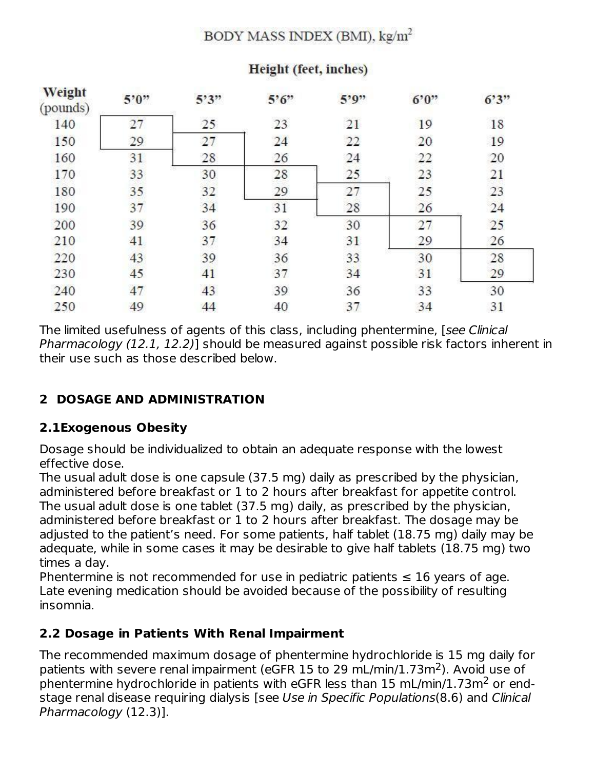## BODY MASS INDEX (BMI), kg/m<sup>2</sup>

| Weight<br>(pounds) | 5'0'' | 5'3'' | $5^{\circ}6^{\circ}$ | 5'9'' | 6°0" | 6'3" |
|--------------------|-------|-------|----------------------|-------|------|------|
| 140                | 27    | 25    | 23                   | 21    | 19   | 18   |
| 150                | 29    | 27    | 24                   | 22    | 20   | 19   |
| 160                | 31    | 28    | 26                   | 24    | 22   | 20   |
| 170                | 33    | 30    | 28                   | 25    | 23   | 21   |
| 180                | 35    | 32    | 29                   | 27    | 25   | 23   |
| 190                | 37    | 34    | 31                   | 28    | 26   | 24   |
| 200                | 39    | 36    | 32                   | 30    | 27   | 25   |
| 210                | 41    | 37    | 34                   | 31    | 29   | 26   |
| 220                | 43    | 39    | 36                   | 33    | 30   | 28   |
| 230                | 45    | 41    | 37                   | 34    | 31   | 29   |
| 240                | 47    | 43    | 39                   | 36    | 33   | 30   |
| 250                | 49    | 44    | 40                   | 37    | 34   | 31   |

## Height (feet, inches)

The limited usefulness of agents of this class, including phentermine, [see Clinical Pharmacology (12.1, 12.2)] should be measured against possible risk factors inherent in their use such as those described below.

# **2 DOSAGE AND ADMINISTRATION**

#### **2.1Exogenous Obesity**

Dosage should be individualized to obtain an adequate response with the lowest effective dose.

The usual adult dose is one capsule (37.5 mg) daily as prescribed by the physician, administered before breakfast or 1 to 2 hours after breakfast for appetite control. The usual adult dose is one tablet (37.5 mg) daily, as prescribed by the physician, administered before breakfast or 1 to 2 hours after breakfast. The dosage may be adjusted to the patient's need. For some patients, half tablet (18.75 mg) daily may be adequate, while in some cases it may be desirable to give half tablets (18.75 mg) two times a day.

Phentermine is not recommended for use in pediatric patients  $\leq 16$  years of age. Late evening medication should be avoided because of the possibility of resulting insomnia.

## **2.2 Dosage in Patients With Renal Impairment**

The recommended maximum dosage of phentermine hydrochloride is 15 mg daily for patients with severe renal impairment (eGFR 15 to 29 mL/min/1.73m<sup>2</sup>). Avoid use of phentermine hydrochloride in patients with eGFR less than 15 mL/min/1.73m<sup>2</sup> or endstage renal disease requiring dialysis [see Use in Specific Populations(8.6) and Clinical Pharmacology (12.3)].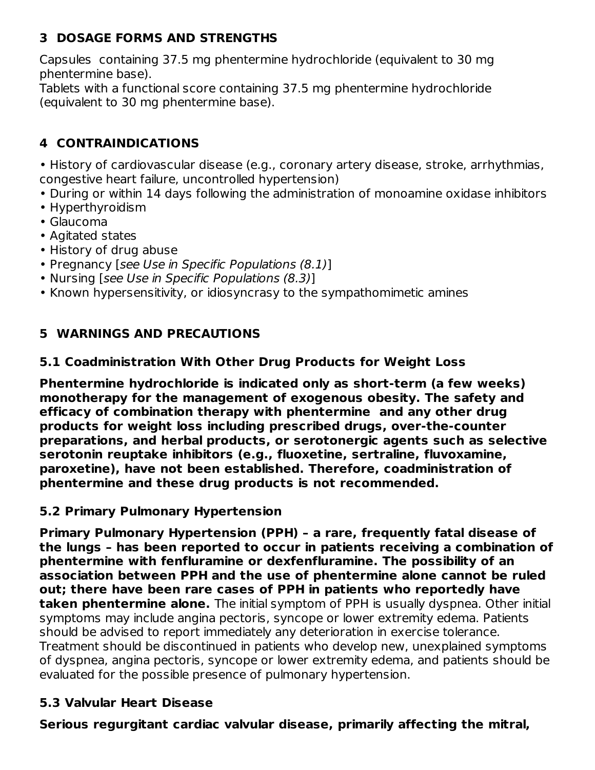# **3 DOSAGE FORMS AND STRENGTHS**

Capsules containing 37.5 mg phentermine hydrochloride (equivalent to 30 mg phentermine base).

Tablets with a functional score containing 37.5 mg phentermine hydrochloride (equivalent to 30 mg phentermine base).

# **4 CONTRAINDICATIONS**

• History of cardiovascular disease (e.g., coronary artery disease, stroke, arrhythmias, congestive heart failure, uncontrolled hypertension)

- During or within 14 days following the administration of monoamine oxidase inhibitors
- Hyperthyroidism
- Glaucoma
- Agitated states
- History of drug abuse
- Pregnancy [see Use in Specific Populations (8.1)]
- Nursing [see Use in Specific Populations (8.3)]
- Known hypersensitivity, or idiosyncrasy to the sympathomimetic amines

# **5 WARNINGS AND PRECAUTIONS**

## **5.1 Coadministration With Other Drug Products for Weight Loss**

**Phentermine hydrochloride is indicated only as short-term (a few weeks) monotherapy for the management of exogenous obesity. The safety and efficacy of combination therapy with phentermine and any other drug products for weight loss including prescribed drugs, over-the-counter preparations, and herbal products, or serotonergic agents such as selective serotonin reuptake inhibitors (e.g., fluoxetine, sertraline, fluvoxamine, paroxetine), have not been established. Therefore, coadministration of phentermine and these drug products is not recommended.**

#### **5.2 Primary Pulmonary Hypertension**

**Primary Pulmonary Hypertension (PPH) – a rare, frequently fatal disease of the lungs – has been reported to occur in patients receiving a combination of phentermine with fenfluramine or dexfenfluramine. The possibility of an association between PPH and the use of phentermine alone cannot be ruled out; there have been rare cases of PPH in patients who reportedly have taken phentermine alone.** The initial symptom of PPH is usually dyspnea. Other initial symptoms may include angina pectoris, syncope or lower extremity edema. Patients should be advised to report immediately any deterioration in exercise tolerance. Treatment should be discontinued in patients who develop new, unexplained symptoms of dyspnea, angina pectoris, syncope or lower extremity edema, and patients should be evaluated for the possible presence of pulmonary hypertension.

## **5.3 Valvular Heart Disease**

**Serious regurgitant cardiac valvular disease, primarily affecting the mitral,**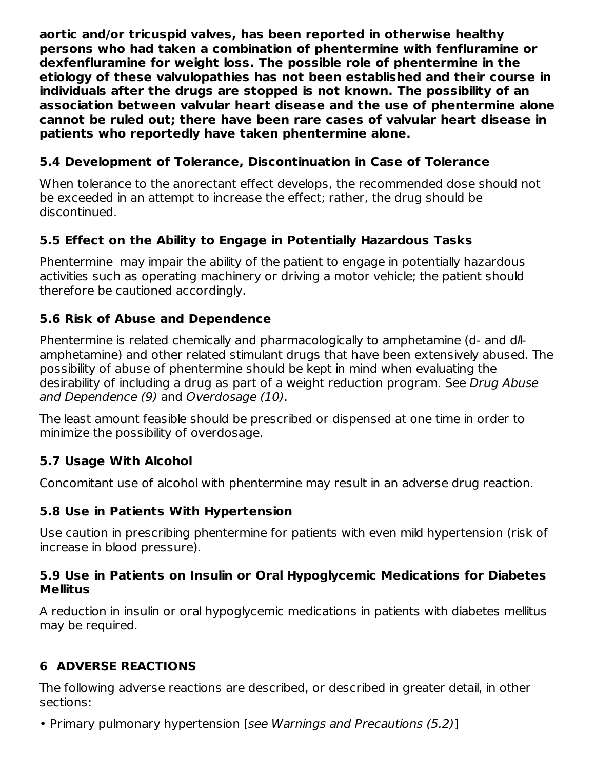**aortic and/or tricuspid valves, has been reported in otherwise healthy persons who had taken a combination of phentermine with fenfluramine or dexfenfluramine for weight loss. The possible role of phentermine in the etiology of these valvulopathies has not been established and their course in individuals after the drugs are stopped is not known. The possibility of an association between valvular heart disease and the use of phentermine alone cannot be ruled out; there have been rare cases of valvular heart disease in patients who reportedly have taken phentermine alone.**

## **5.4 Development of Tolerance, Discontinuation in Case of Tolerance**

When tolerance to the anorectant effect develops, the recommended dose should not be exceeded in an attempt to increase the effect; rather, the drug should be discontinued.

# **5.5 Effect on the Ability to Engage in Potentially Hazardous Tasks**

Phentermine may impair the ability of the patient to engage in potentially hazardous activities such as operating machinery or driving a motor vehicle; the patient should therefore be cautioned accordingly.

## **5.6 Risk of Abuse and Dependence**

Phentermine is related chemically and pharmacologically to amphetamine (d- and dllamphetamine) and other related stimulant drugs that have been extensively abused. The possibility of abuse of phentermine should be kept in mind when evaluating the desirability of including a drug as part of a weight reduction program. See Drug Abuse and Dependence (9) and Overdosage (10).

The least amount feasible should be prescribed or dispensed at one time in order to minimize the possibility of overdosage.

## **5.7 Usage With Alcohol**

Concomitant use of alcohol with phentermine may result in an adverse drug reaction.

## **5.8 Use in Patients With Hypertension**

Use caution in prescribing phentermine for patients with even mild hypertension (risk of increase in blood pressure).

#### **5.9 Use in Patients on Insulin or Oral Hypoglycemic Medications for Diabetes Mellitus**

A reduction in insulin or oral hypoglycemic medications in patients with diabetes mellitus may be required.

# **6 ADVERSE REACTIONS**

The following adverse reactions are described, or described in greater detail, in other sections:

• Primary pulmonary hypertension [see Warnings and Precautions (5.2)]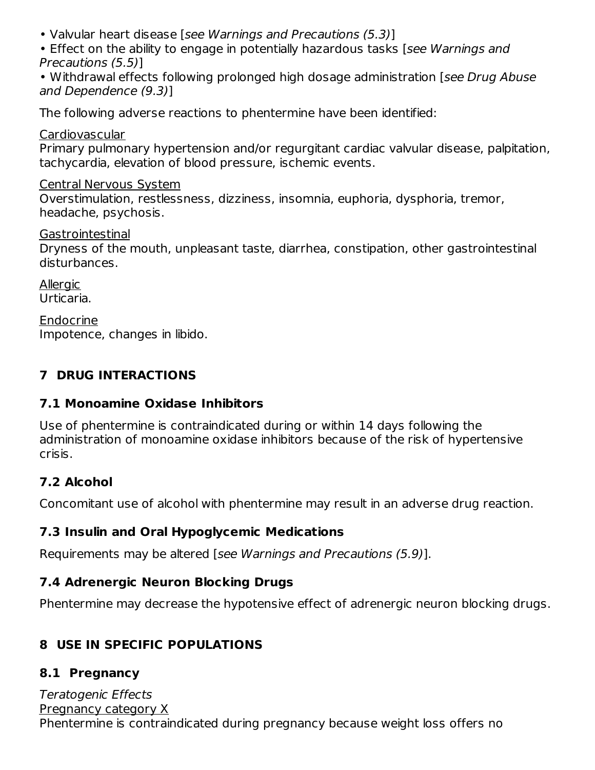• Valvular heart disease [see Warnings and Precautions (5.3)]

• Effect on the ability to engage in potentially hazardous tasks [see Warnings and Precautions (5.5)]

• Withdrawal effects following prolonged high dosage administration [see Drug Abuse] and Dependence (9.3)]

The following adverse reactions to phentermine have been identified:

Cardiovascular

Primary pulmonary hypertension and/or regurgitant cardiac valvular disease, palpitation, tachycardia, elevation of blood pressure, ischemic events.

## Central Nervous System

Overstimulation, restlessness, dizziness, insomnia, euphoria, dysphoria, tremor, headache, psychosis.

Gastrointestinal

Dryness of the mouth, unpleasant taste, diarrhea, constipation, other gastrointestinal disturbances.

**Allergic** Urticaria.

Endocrine Impotence, changes in libido.

# **7 DRUG INTERACTIONS**

# **7.1 Monoamine Oxidase Inhibitors**

Use of phentermine is contraindicated during or within 14 days following the administration of monoamine oxidase inhibitors because of the risk of hypertensive crisis.

# **7.2 Alcohol**

Concomitant use of alcohol with phentermine may result in an adverse drug reaction.

# **7.3 Insulin and Oral Hypoglycemic Medications**

Requirements may be altered [see Warnings and Precautions (5.9)].

# **7.4 Adrenergic Neuron Blocking Drugs**

Phentermine may decrease the hypotensive effect of adrenergic neuron blocking drugs.

# **8 USE IN SPECIFIC POPULATIONS**

# **8.1 Pregnancy**

Teratogenic Effects Pregnancy category X Phentermine is contraindicated during pregnancy because weight loss offers no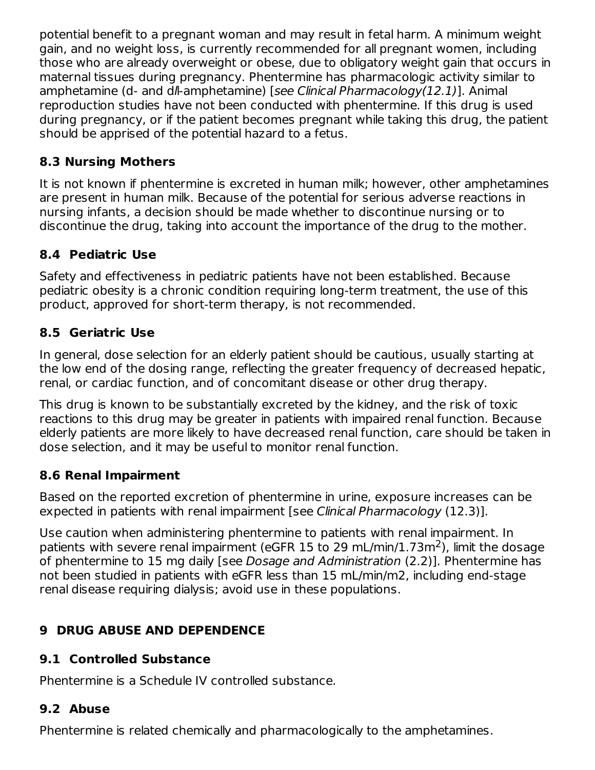potential benefit to a pregnant woman and may result in fetal harm. A minimum weight gain, and no weight loss, is currently recommended for all pregnant women, including those who are already overweight or obese, due to obligatory weight gain that occurs in maternal tissues during pregnancy. Phentermine has pharmacologic activity similar to amphetamine (d- and dl-amphetamine) [see Clinical Pharmacology(12.1)]. Animal reproduction studies have not been conducted with phentermine. If this drug is used during pregnancy, or if the patient becomes pregnant while taking this drug, the patient should be apprised of the potential hazard to a fetus.

# **8.3 Nursing Mothers**

It is not known if phentermine is excreted in human milk; however, other amphetamines are present in human milk. Because of the potential for serious adverse reactions in nursing infants, a decision should be made whether to discontinue nursing or to discontinue the drug, taking into account the importance of the drug to the mother.

# **8.4 Pediatric Use**

Safety and effectiveness in pediatric patients have not been established. Because pediatric obesity is a chronic condition requiring long-term treatment, the use of this product, approved for short-term therapy, is not recommended.

# **8.5 Geriatric Use**

In general, dose selection for an elderly patient should be cautious, usually starting at the low end of the dosing range, reflecting the greater frequency of decreased hepatic, renal, or cardiac function, and of concomitant disease or other drug therapy.

This drug is known to be substantially excreted by the kidney, and the risk of toxic reactions to this drug may be greater in patients with impaired renal function. Because elderly patients are more likely to have decreased renal function, care should be taken in dose selection, and it may be useful to monitor renal function.

# **8.6 Renal Impairment**

Based on the reported excretion of phentermine in urine, exposure increases can be expected in patients with renal impairment [see Clinical Pharmacology (12.3)].

Use caution when administering phentermine to patients with renal impairment. In patients with severe renal impairment (eGFR 15 to 29 mL/min/1.73m<sup>2</sup>), limit the dosage of phentermine to 15 mg daily [see Dosage and Administration (2.2)]. Phentermine has not been studied in patients with eGFR less than 15 mL/min/m2, including end-stage renal disease requiring dialysis; avoid use in these populations.

# **9 DRUG ABUSE AND DEPENDENCE**

# **9.1 Controlled Substance**

Phentermine is a Schedule IV controlled substance.

# **9.2 Abuse**

Phentermine is related chemically and pharmacologically to the amphetamines.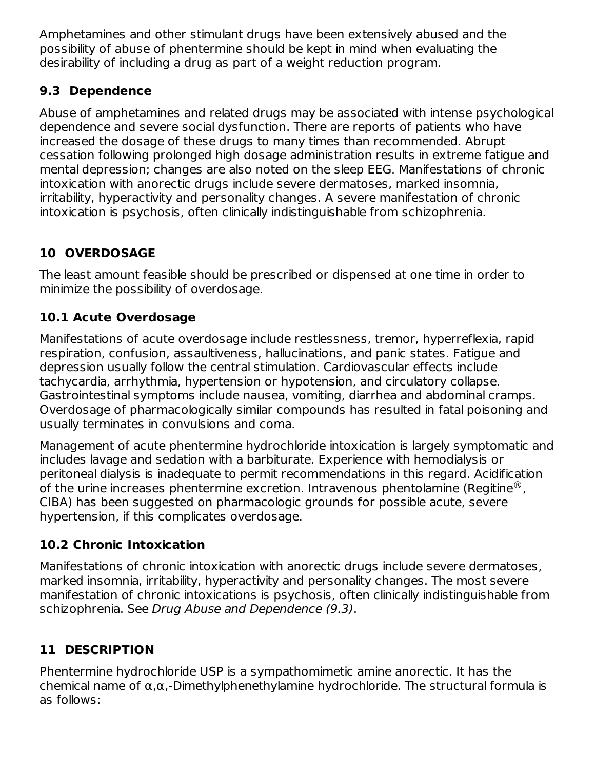Amphetamines and other stimulant drugs have been extensively abused and the possibility of abuse of phentermine should be kept in mind when evaluating the desirability of including a drug as part of a weight reduction program.

# **9.3 Dependence**

Abuse of amphetamines and related drugs may be associated with intense psychological dependence and severe social dysfunction. There are reports of patients who have increased the dosage of these drugs to many times than recommended. Abrupt cessation following prolonged high dosage administration results in extreme fatigue and mental depression; changes are also noted on the sleep EEG. Manifestations of chronic intoxication with anorectic drugs include severe dermatoses, marked insomnia, irritability, hyperactivity and personality changes. A severe manifestation of chronic intoxication is psychosis, often clinically indistinguishable from schizophrenia.

# **10 OVERDOSAGE**

The least amount feasible should be prescribed or dispensed at one time in order to minimize the possibility of overdosage.

# **10.1 Acute Overdosage**

Manifestations of acute overdosage include restlessness, tremor, hyperreflexia, rapid respiration, confusion, assaultiveness, hallucinations, and panic states. Fatigue and depression usually follow the central stimulation. Cardiovascular effects include tachycardia, arrhythmia, hypertension or hypotension, and circulatory collapse. Gastrointestinal symptoms include nausea, vomiting, diarrhea and abdominal cramps. Overdosage of pharmacologically similar compounds has resulted in fatal poisoning and usually terminates in convulsions and coma.

Management of acute phentermine hydrochloride intoxication is largely symptomatic and includes lavage and sedation with a barbiturate. Experience with hemodialysis or peritoneal dialysis is inadequate to permit recommendations in this regard. Acidification of the urine increases phentermine excretion. Intravenous phentolamine (Regitine $^{\circledR}$ , CIBA) has been suggested on pharmacologic grounds for possible acute, severe hypertension, if this complicates overdosage.

# **10.2 Chronic Intoxication**

Manifestations of chronic intoxication with anorectic drugs include severe dermatoses, marked insomnia, irritability, hyperactivity and personality changes. The most severe manifestation of chronic intoxications is psychosis, often clinically indistinguishable from schizophrenia. See Drug Abuse and Dependence (9.3).

# **11 DESCRIPTION**

Phentermine hydrochloride USP is a sympathomimetic amine anorectic. It has the chemical name of α,α,-Dimethylphenethylamine hydrochloride. The structural formula is as follows: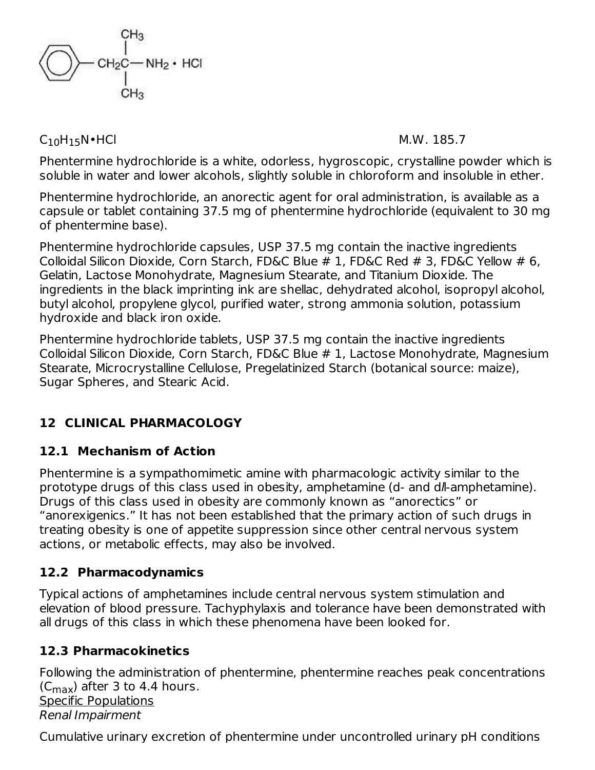

 $C_{10}H_{15}N \cdot HCl$  M.W. 185.7

Phentermine hydrochloride is a white, odorless, hygroscopic, crystalline powder which is soluble in water and lower alcohols, slightly soluble in chloroform and insoluble in ether.

Phentermine hydrochloride, an anorectic agent for oral administration, is available as a capsule or tablet containing 37.5 mg of phentermine hydrochloride (equivalent to 30 mg of phentermine base).

Phentermine hydrochloride capsules, USP 37.5 mg contain the inactive ingredients Colloidal Silicon Dioxide, Corn Starch, FD&C Blue # 1, FD&C Red # 3, FD&C Yellow # 6, Gelatin, Lactose Monohydrate, Magnesium Stearate, and Titanium Dioxide. The ingredients in the black imprinting ink are shellac, dehydrated alcohol, isopropyl alcohol, butyl alcohol, propylene glycol, purified water, strong ammonia solution, potassium hydroxide and black iron oxide.

Phentermine hydrochloride tablets, USP 37.5 mg contain the inactive ingredients Colloidal Silicon Dioxide, Corn Starch, FD&C Blue # 1, Lactose Monohydrate, Magnesium Stearate, Microcrystalline Cellulose, Pregelatinized Starch (botanical source: maize), Sugar Spheres, and Stearic Acid.

# **12 CLINICAL PHARMACOLOGY**

# **12.1 Mechanism of Action**

Phentermine is a sympathomimetic amine with pharmacologic activity similar to the prototype drugs of this class used in obesity, amphetamine (d- and dll-amphetamine). Drugs of this class used in obesity are commonly known as "anorectics" or "anorexigenics." It has not been established that the primary action of such drugs in treating obesity is one of appetite suppression since other central nervous system actions, or metabolic effects, may also be involved.

# **12.2 Pharmacodynamics**

Typical actions of amphetamines include central nervous system stimulation and elevation of blood pressure. Tachyphylaxis and tolerance have been demonstrated with all drugs of this class in which these phenomena have been looked for.

# **12.3 Pharmacokinetics**

Following the administration of phentermine, phentermine reaches peak concentrations (C $_{\text{max}}$ ) after 3 to 4.4 hours. Specific Populations Renal Impairment

Cumulative urinary excretion of phentermine under uncontrolled urinary pH conditions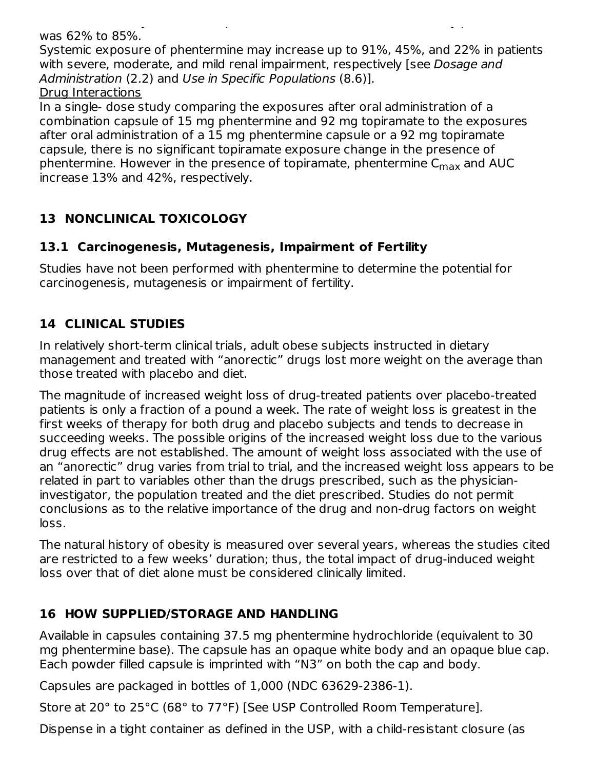Cumulative urinary excretion of phentermine under uncontrolled urinary pH conditions was 62% to 85%.

Systemic exposure of phentermine may increase up to 91%, 45%, and 22% in patients with severe, moderate, and mild renal impairment, respectively [see Dosage and Administration (2.2) and Use in Specific Populations (8.6)].

Drug Interactions

In a single- dose study comparing the exposures after oral administration of a combination capsule of 15 mg phentermine and 92 mg topiramate to the exposures after oral administration of a 15 mg phentermine capsule or a 92 mg topiramate capsule, there is no significant topiramate exposure change in the presence of phentermine. However in the presence of topiramate, phentermine C<sub>max</sub> and AUC increase 13% and 42%, respectively.

# **13 NONCLINICAL TOXICOLOGY**

## **13.1 Carcinogenesis, Mutagenesis, Impairment of Fertility**

Studies have not been performed with phentermine to determine the potential for carcinogenesis, mutagenesis or impairment of fertility.

# **14 CLINICAL STUDIES**

In relatively short-term clinical trials, adult obese subjects instructed in dietary management and treated with "anorectic" drugs lost more weight on the average than those treated with placebo and diet.

The magnitude of increased weight loss of drug-treated patients over placebo-treated patients is only a fraction of a pound a week. The rate of weight loss is greatest in the first weeks of therapy for both drug and placebo subjects and tends to decrease in succeeding weeks. The possible origins of the increased weight loss due to the various drug effects are not established. The amount of weight loss associated with the use of an "anorectic" drug varies from trial to trial, and the increased weight loss appears to be related in part to variables other than the drugs prescribed, such as the physicianinvestigator, the population treated and the diet prescribed. Studies do not permit conclusions as to the relative importance of the drug and non-drug factors on weight loss.

The natural history of obesity is measured over several years, whereas the studies cited are restricted to a few weeks' duration; thus, the total impact of drug-induced weight loss over that of diet alone must be considered clinically limited.

# **16 HOW SUPPLIED/STORAGE AND HANDLING**

Available in capsules containing 37.5 mg phentermine hydrochloride (equivalent to 30 mg phentermine base). The capsule has an opaque white body and an opaque blue cap. Each powder filled capsule is imprinted with "N3" on both the cap and body.

Capsules are packaged in bottles of 1,000 (NDC 63629-2386-1).

Store at 20° to 25°C (68° to 77°F) [See USP Controlled Room Temperature].

Dispense in a tight container as defined in the USP, with a child-resistant closure (as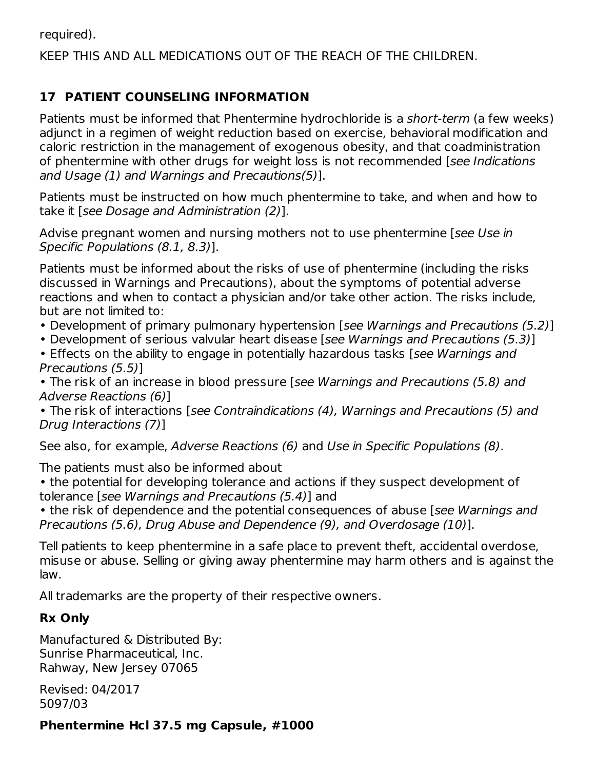required).

#### KEEP THIS AND ALL MEDICATIONS OUT OF THE REACH OF THE CHILDREN.

## **17 PATIENT COUNSELING INFORMATION**

Patients must be informed that Phentermine hydrochloride is a short-term (a few weeks) adjunct in a regimen of weight reduction based on exercise, behavioral modification and caloric restriction in the management of exogenous obesity, and that coadministration of phentermine with other drugs for weight loss is not recommended [see Indications] and Usage (1) and Warnings and Precautions(5)].

Patients must be instructed on how much phentermine to take, and when and how to take it [see Dosage and Administration (2)].

Advise pregnant women and nursing mothers not to use phentermine [see Use in Specific Populations (8.1, 8.3)].

Patients must be informed about the risks of use of phentermine (including the risks discussed in Warnings and Precautions), about the symptoms of potential adverse reactions and when to contact a physician and/or take other action. The risks include, but are not limited to:

- Development of primary pulmonary hypertension [see Warnings and Precautions (5.2)]
- Development of serious valvular heart disease [see Warnings and Precautions (5.3)]
- Effects on the ability to engage in potentially hazardous tasks [see Warnings and Precautions (5.5)]

• The risk of an increase in blood pressure [see Warnings and Precautions (5.8) and Adverse Reactions (6)]

• The risk of interactions [see Contraindications (4), Warnings and Precautions (5) and Drug Interactions (7)]

See also, for example, Adverse Reactions (6) and Use in Specific Populations (8).

The patients must also be informed about

• the potential for developing tolerance and actions if they suspect development of tolerance [see Warnings and Precautions (5.4)] and

• the risk of dependence and the potential consequences of abuse [see Warnings and Precautions (5.6), Drug Abuse and Dependence (9), and Overdosage (10)].

Tell patients to keep phentermine in a safe place to prevent theft, accidental overdose, misuse or abuse. Selling or giving away phentermine may harm others and is against the law.

All trademarks are the property of their respective owners.

# **Rx Only**

Manufactured & Distributed By: Sunrise Pharmaceutical, Inc. Rahway, New Jersey 07065

Revised: 04/2017 5097/03

**Phentermine Hcl 37.5 mg Capsule, #1000**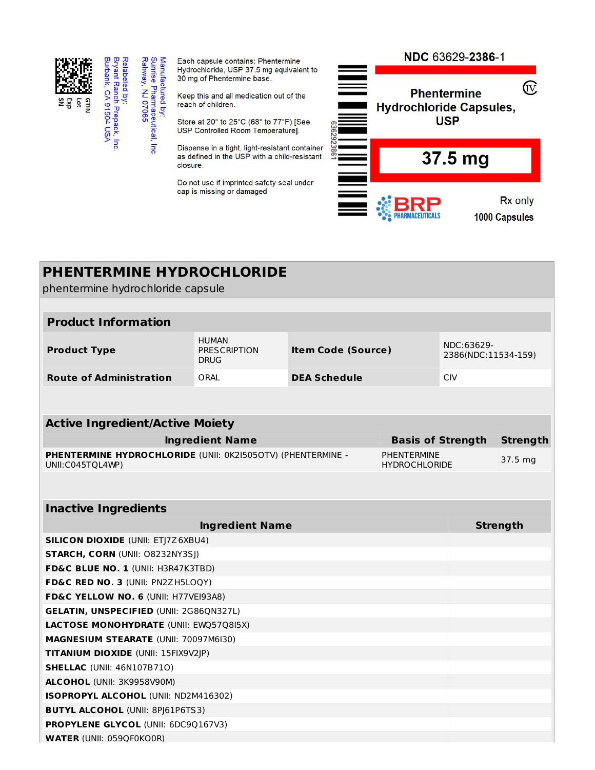

Manufactured by:<br>Sunrise Pharmaceutical,<br>Rahway, NJ 07065

 $\overline{\mathsf{m}}$ 

Each capsule contains: Phentermine Hydrochloride, USP 37.5 mg equivalent to 30 mg of Phentermine base.

Keep this and all medication out of the reach of children.

Store at 20° to 25°C (68° to 77°F) [See USP Controlled Room Temperature].

Dispense in a tight, light-resistant container as defined in the USP with a child-resistant closure.

Do not use if imprinted safety seal under cap is missing or damaged



| <b>PHENTERMINE HYDROCHLORIDE</b>                                                |                                            |                                            |                                   |            |                 |  |  |
|---------------------------------------------------------------------------------|--------------------------------------------|--------------------------------------------|-----------------------------------|------------|-----------------|--|--|
| phentermine hydrochloride capsule                                               |                                            |                                            |                                   |            |                 |  |  |
|                                                                                 |                                            |                                            |                                   |            |                 |  |  |
| <b>Product Information</b>                                                      |                                            |                                            |                                   |            |                 |  |  |
| <b>Product Type</b>                                                             | <b>Item Code (Source)</b>                  |                                            | NDC:63629-<br>2386(NDC:11534-159) |            |                 |  |  |
| <b>Route of Administration</b>                                                  | ORAL<br><b>DEA Schedule</b>                |                                            |                                   | <b>CIV</b> |                 |  |  |
|                                                                                 |                                            |                                            |                                   |            |                 |  |  |
| <b>Active Ingredient/Active Moiety</b>                                          |                                            |                                            |                                   |            |                 |  |  |
|                                                                                 | <b>Ingredient Name</b>                     |                                            | <b>Basis of Strength</b>          |            | <b>Strength</b> |  |  |
| PHENTERMINE HYDROCHLORIDE (UNII: 0K2I505OTV) (PHENTERMINE -<br>UNII:C045TQL4WP) |                                            | <b>PHENTERMINE</b><br><b>HYDROCHLORIDE</b> |                                   | 37.5 mg    |                 |  |  |
|                                                                                 |                                            |                                            |                                   |            |                 |  |  |
| <b>Inactive Ingredients</b>                                                     |                                            |                                            |                                   |            |                 |  |  |
|                                                                                 | <b>Strength</b>                            |                                            |                                   |            |                 |  |  |
| <b>SILICON DIOXIDE (UNII: ETJ7Z6XBU4)</b>                                       |                                            |                                            |                                   |            |                 |  |  |
|                                                                                 | <b>STARCH, CORN (UNII: 08232NY3SJ)</b>     |                                            |                                   |            |                 |  |  |
| FD&C BLUE NO. 1 (UNII: H3R47K3TBD)                                              |                                            |                                            |                                   |            |                 |  |  |
| FD&C RED NO. 3 (UNII: PN2ZH5LOQY)                                               |                                            |                                            |                                   |            |                 |  |  |
| FD&C YELLOW NO. 6 (UNII: H77VEI93A8)                                            |                                            |                                            |                                   |            |                 |  |  |
| <b>GELATIN, UNSPECIFIED (UNII: 2G86QN327L)</b>                                  |                                            |                                            |                                   |            |                 |  |  |
| LACTOSE MONOHYDRATE (UNII: EWQ57Q8I5X)                                          |                                            |                                            |                                   |            |                 |  |  |
| MAGNESIUM STEARATE (UNII: 70097M6I30)                                           |                                            |                                            |                                   |            |                 |  |  |
| TITANIUM DIOXIDE (UNII: 15FIX9V2JP)                                             |                                            |                                            |                                   |            |                 |  |  |
| <b>SHELLAC</b> (UNII: 46N107B710)                                               |                                            |                                            |                                   |            |                 |  |  |
| ALCOHOL (UNII: 3K9958V90M)                                                      |                                            |                                            |                                   |            |                 |  |  |
| <b>ISOPROPYL ALCOHOL (UNII: ND2M416302)</b>                                     |                                            |                                            |                                   |            |                 |  |  |
| <b>BUTYL ALCOHOL (UNII: 8PJ61P6TS3)</b>                                         |                                            |                                            |                                   |            |                 |  |  |
|                                                                                 | <b>PROPYLENE GLYCOL (UNII: 6DC90167V3)</b> |                                            |                                   |            |                 |  |  |
| <b>WATER (UNII: 059QF0KO0R)</b>                                                 |                                            |                                            |                                   |            |                 |  |  |